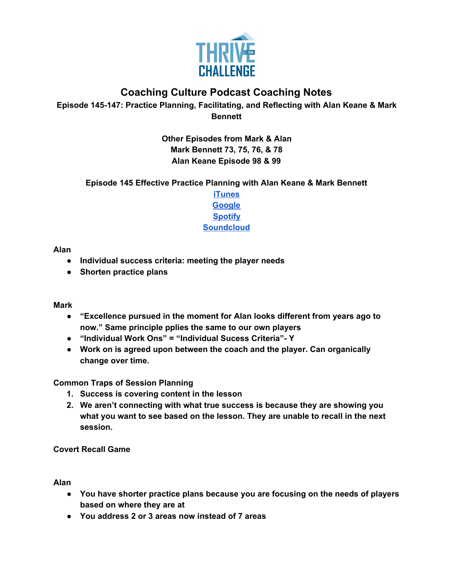

# **Coaching Culture Podcast Coaching Notes**

**Episode 145-147: Practice Planning, Facilitating, and Reflecting with Alan Keane & Mark Bennett**

> **Other Episodes from Mark & Alan Mark Bennett 73, 75, 76, & 78 Alan Keane Episode 98 & 99**

### **Episode 145 Effective Practice Planning with Alan Keane & Mark Bennett**

**[iTunes](https://podcasts.apple.com/us/podcast/145-effective-practice-planning-alan-keane-mark-bennett/id1286560192?i=1000480008495) [Google](https://podcasts.google.com/feed/aHR0cHM6Ly9mZWVkcy5zb3VuZGNsb3VkLmNvbS91c2Vycy9zb3VuZGNsb3VkOnVzZXJzOjQxMDQyNzcvc291bmRzLnJzcw/episode/dGFnOnNvdW5kY2xvdWQsMjAxMDp0cmFja3MvODQ4Mzg2MjEw?ved=0CAkQ38oDahcKEwiAkfKW9qTqAhUAAAAAHQAAAAAQAQ) [Spotify](https://open.spotify.com/episode/6b0m6VnzuwYyAuOvtkEGbF) [Soundcloud](https://soundcloud.com/thriveonchallenge/145-effective-practice-planning-with-alan-keane-mark-bennett)**

#### **Alan**

- **● Individual success criteria: meeting the player needs**
- **● Shorten practice plans**

#### **Mark**

- **● "Excellence pursued in the moment for Alan looks different from years ago to now." Same principle pplies the same to our own players**
- **● "Individual Work Ons" = "Individual Sucess Criteria"- Y**
- **● Work on is agreed upon between the coach and the player. Can organically change over time.**

#### **Common Traps of Session Planning**

- **1. Success is covering content in the lesson**
- **2. We aren't connecting with what true success is because they are showing you what you want to see based on the lesson. They are unable to recall in the next session.**

**Covert Recall Game**

**Alan**

- **● You have shorter practice plans because you are focusing on the needs of players based on where they are at**
- **● You address 2 or 3 areas now instead of 7 areas**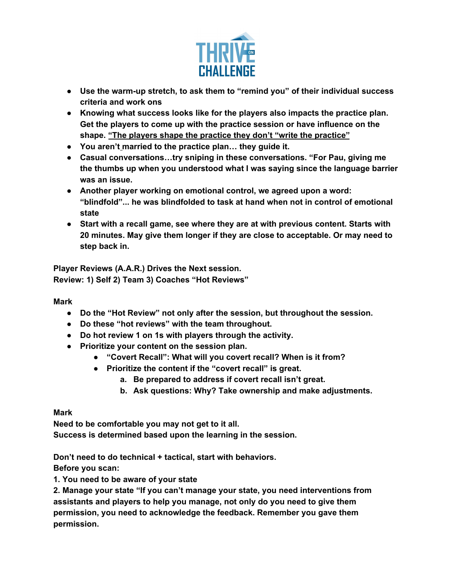

- **● Use the warm-up stretch, to ask them to "remind you" of their individual success criteria and work ons**
- **● Knowing what success looks like for the players also impacts the practice plan. Get the players to come up with the practice session or have influence on the shape. "The players shape the practice they don't "write the practice"**
- **● You aren't married to the practice plan… they guide it.**
- **● Casual conversations…try sniping in these conversations. "For Pau, giving me the thumbs up when you understood what I was saying since the language barrier was an issue.**
- **● Another player working on emotional control, we agreed upon a word: "blindfold"... he was blindfolded to task at hand when not in control of emotional state**
- **● Start with a recall game, see where they are at with previous content. Starts with 20 minutes. May give them longer if they are close to acceptable. Or may need to step back in.**

**Player Reviews (A.A.R.) Drives the Next session. Review: 1) Self 2) Team 3) Coaches "Hot Reviews"**

**Mark**

- **● Do the "Hot Review" not only after the session, but throughout the session.**
- **● Do these "hot reviews" with the team throughout.**
- **● Do hot review 1 on 1s with players through the activity.**
- **● Prioritize your content on the session plan.**
	- **● "Covert Recall": What will you covert recall? When is it from?**
	- **● Prioritize the content if the "covert recall" is great.**
		- **a. Be prepared to address if covert recall isn't great.**
		- **b. Ask questions: Why? Take ownership and make adjustments.**

**Mark**

**Need to be comfortable you may not get to it all. Success is determined based upon the learning in the session.**

**Don't need to do technical + tactical, start with behaviors.**

**Before you scan:**

**1. You need to be aware of your state**

**2. Manage your state "If you can't manage your state, you need interventions from assistants and players to help you manage, not only do you need to give them permission, you need to acknowledge the feedback. Remember you gave them permission.**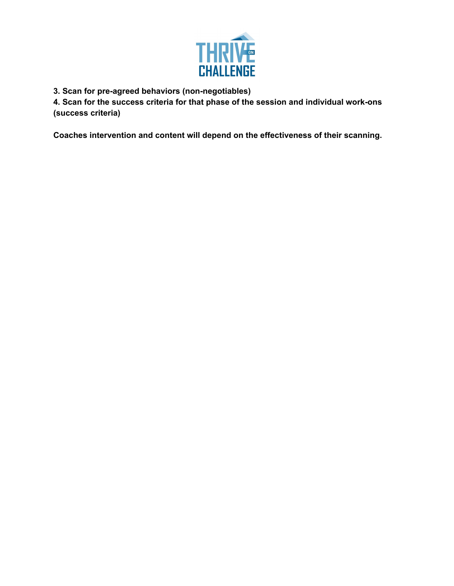

**3. Scan for pre-agreed behaviors (non-negotiables)**

**4. Scan for the success criteria for that phase of the session and individual work-ons (success criteria)**

**Coaches intervention and content will depend on the effectiveness of their scanning.**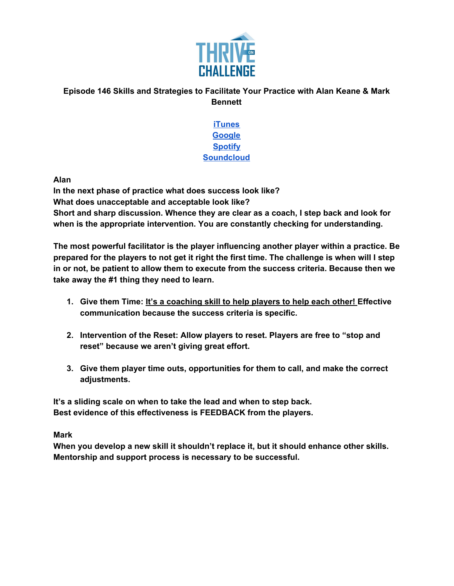

## **Episode 146 Skills and Strategies to Facilitate Your Practice with Alan Keane & Mark Bennett**

**[iTunes](https://podcasts.apple.com/us/podcast/episode-146-skills-strategies-to-facilitate-your-practice/id1286560192?i=1000480906906) [Google](https://podcasts.google.com/feed/aHR0cHM6Ly9mZWVkcy5zb3VuZGNsb3VkLmNvbS91c2Vycy9zb3VuZGNsb3VkOnVzZXJzOjQxMDQyNzcvc291bmRzLnJzcw/episode/dGFnOnNvdW5kY2xvdWQsMjAxMDp0cmFja3MvODUwMTI5NTc5?ved=0CAkQ38oDahcKEwiA3tDT7qvqAhUAAAAAHQAAAAAQAQ) [Spotify](https://open.spotify.com/episode/0fDBk565BIgPFwVa1gVDH0) [Soundcloud](https://soundcloud.com/thriveonchallenge/episode-146-skills-and-strategies-to-facilitate-your-practice-with-alan-keane-mark-bennett)**

**Alan**

**In the next phase of practice what does success look like? What does unacceptable and acceptable look like? Short and sharp discussion. Whence they are clear as a coach, I step back and look for when is the appropriate intervention. You are constantly checking for understanding.**

**The most powerful facilitator is the player influencing another player within a practice. Be** prepared for the players to not get it right the first time. The challenge is when will I step **in or not, be patient to allow them to execute from the success criteria. Because then we take away the #1 thing they need to learn.**

- **1. Give them Time: It's a coaching skill to help players to help each other! Effective communication because the success criteria is specific.**
- **2. Intervention of the Reset: Allow players to reset. Players are free to "stop and reset" because we aren't giving great effort.**
- **3. Give them player time outs, opportunities for them to call, and make the correct adjustments.**

**It's a sliding scale on when to take the lead and when to step back. Best evidence of this effectiveness is FEEDBACK from the players.**

**Mark**

**When you develop a new skill it shouldn't replace it, but it should enhance other skills. Mentorship and support process is necessary to be successful.**